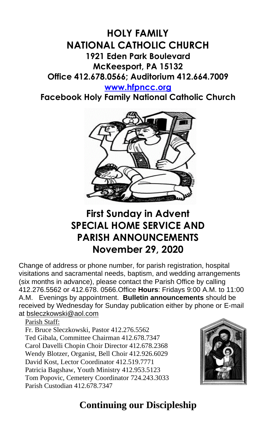# **HOLY FAMILY NATIONAL CATHOLIC CHURCH 1921 Eden Park Boulevard McKeesport, PA 15132 Office 412.678.0566; Auditorium 412.664.7009**

**[www.hfpncc.org](http://www.hfpncc.org/)**

**Facebook Holy Family National Catholic Church**



# **First Sunday in Advent SPECIAL HOME SERVICE AND PARISH ANNOUNCEMENTS November 29, 2020**

Change of address or phone number, for parish registration, hospital visitations and sacramental needs, baptism, and wedding arrangements (six months in advance), please contact the Parish Office by calling 412.276.5562 or 412.678. 0566.Office **Hours**: Fridays 9:00 A.M. to 11:00 A.M. Evenings by appointment. **Bulletin announcements** should be received by Wednesday for Sunday publication either by phone or E-mail at [bsleczkowski@aol.com](mailto:bsleczkowski@aol.com)

Parish Staff:

Fr. Bruce Sleczkowski, Pastor 412.276.5562 Ted Gibala, Committee Chairman 412.678.7347 Carol Davelli Chopin Choir Director 412.678.2368 Wendy Blotzer, Organist, Bell Choir 412.926.6029 David Kost, Lector Coordinator 412.519.7771 Patricia Bagshaw, Youth Ministry 412.953.5123 Tom Popovic, Cemetery Coordinator 724.243.3033 Parish Custodian 412.678.7347



# **Continuing our Discipleship**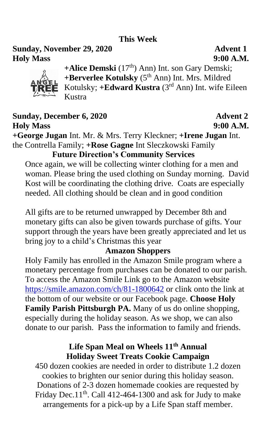### **This Week**

**Sunday, November 29, 2020 Advent 1 Holy Mass 9:00 A.M.**



+Alice Demski (17<sup>th</sup>) Ann) Int. son Gary Demski; **+Berverlee Kotulsky** (5th Ann) Int. Mrs. Mildred Kotulsky; **+Edward Kustra** (3rd Ann) Int. wife Eileen Kustra

## **Sunday, December 6, 2020 Advent 2 Holy Mass 9:00 A.M.**

**+George Jugan** Int. Mr. & Mrs. Terry Kleckner; **+Irene Jugan** Int. the Contrella Family; **+Rose Gagne** Int Sleczkowski Family

## **Future Direction's Community Services**

Once again, we will be collecting winter clothing for a men and woman. Please bring the used clothing on Sunday morning. David Kost will be coordinating the clothing drive. Coats are especially needed. All clothing should be clean and in good condition

All gifts are to be returned unwrapped by December 8th and monetary gifts can also be given towards purchase of gifts. Your support through the years have been greatly appreciated and let us bring joy to a child's Christmas this year

### **Amazon Shoppers**

Holy Family has enrolled in the Amazon Smile program where a monetary percentage from purchases can be donated to our parish. To access the Amazon Smile Link go to the Amazon website <https://smile.amazon.com/ch/81-1800642> or clink onto the link at the bottom of our website or our Facebook page. **Choose Holy Family Parish Pittsburgh PA.** Many of us do online shopping, especially during the holiday season. As we shop, we can also donate to our parish. Pass the information to family and friends.

## **Life Span Meal on Wheels 11th Annual Holiday Sweet Treats Cookie Campaign**

450 dozen cookies are needed in order to distribute 1.2 dozen cookies to brighten our senior during this holiday season. Donations of 2-3 dozen homemade cookies are requested by Friday Dec. $11<sup>th</sup>$ . Call 412-464-1300 and ask for Judy to make arrangements for a pick-up by a Life Span staff member.